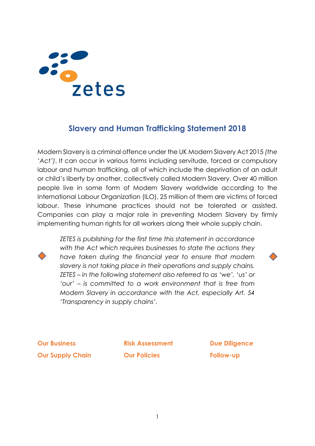# zetes

#### **Slavery and Human Trafficking Statement 2018**

Modern Slavery is a criminal offence under the UK Modern Slavery Act 2015 *(the 'Act')*. It can occur in various forms including servitude, forced or compulsory labour and human trafficking, all of which include the deprivation of an adult or child's liberty by another, collectively called Modern Slavery. Over 40 million people live in some form of Modern Slavery worldwide according to the International Labour Organization (ILO), 25 million of them are victims of forced labour. These inhumane practices should not be tolerated or assisted. Companies can play a major role in preventing Modern Slavery by firmly implementing human rights for all workers along their whole supply chain.



*ZETES is publishing for the first time this statement in accordance with the Act which requires businesses to state the actions they have taken during the financial year to ensure that modern slavery is not taking place in their operations and supply chains. ZETES – in the following statement also referred to as 'we', 'us' or 'our' – is committed to a work environment that is free from Modern Slavery in accordance with the Act, especially Art. 54 'Transparency in supply chains'.*



**Our Business Our Supply Chain**

**Risk Assessment Our Policies**

**Due Diligence Follow-up**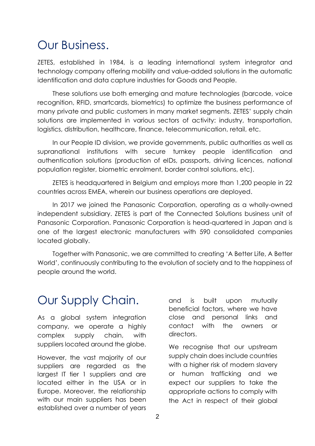### Our Business.

ZETES, established in 1984, is a leading international system integrator and technology company offering mobility and value-added solutions in the automatic identification and data capture industries for Goods and People.

These solutions use both emerging and mature technologies (barcode, voice recognition, RFID, smartcards, biometrics) to optimize the business performance of many private and public customers in many market segments. ZETES' supply chain solutions are implemented in various sectors of activity: industry, transportation, logistics, distribution, healthcare, finance, telecommunication, retail, etc.

In our People ID division, we provide governments, public authorities as well as supranational institutions with secure turnkey people identification and authentication solutions (production of eIDs, passports, driving licences, national population register, biometric enrolment, border control solutions, etc).

ZETES is headquartered in Belgium and employs more than 1,200 people in 22 countries across EMEA, wherein our business operations are deployed.

In 2017 we joined the Panasonic Corporation, operating as a wholly-owned independent subsidiary. ZETES is part of the Connected Solutions business unit of Panasonic Corporation. Panasonic Corporation is head-quartered in Japan and is one of the largest electronic manufacturers with 590 consolidated companies located globally.

Together with Panasonic, we are committed to creating 'A Better Life, A Better World', continuously contributing to the evolution of society and to the happiness of people around the world.

## Our Supply Chain.

As a global system integration company, we operate a highly complex supply chain, with suppliers located around the globe.

However, the vast majority of our suppliers are regarded as the largest IT tier 1 suppliers and are located either in the USA or in Europe. Moreover, the relationship with our main suppliers has been established over a number of years

and is built upon mutually beneficial factors, where we have close and personal links and contact with the owners or directors.

We recognise that our upstream supply chain does include countries with a higher risk of modern slavery or human trafficking and we expect our suppliers to take the appropriate actions to comply with the Act in respect of their global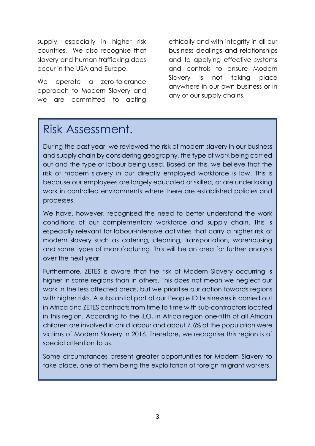supply, especially in higher risk countries. We also recognise that slavery and human trafficking does occur in the USA and Europe.

We operate a zero-tolerance approach to Modern Slavery and we are committed to acting

ethically and with integrity in all our business dealings and relationships and to applying effective systems and controls to ensure Modern Slavery is not taking place anywhere in our own business or in any of our supply chains.

#### Risk Assessment.

During the past year, we reviewed the risk of modern slavery in our business and supply chain by considering geography, the type of work being carried out and the type of labour being used. Based on this, we believe that the risk of modern slavery in our directly employed workforce is low. This is because our employees are largely educated or skilled, or are undertaking work in controlled environments where there are established policies and processes.

We have, however, recognised the need to better understand the work conditions of our complementary workforce and supply chain. This is especially relevant for labour-intensive activities that carry a higher risk of modern slavery such as catering, cleaning, transportation, warehousing and some types of manufacturing. This will be an area for further analysis over the next year.

Furthermore, ZETES is aware that the risk of Modern Slavery occurring is higher in some regions than in others. This does not mean we neglect our work in the less affected areas, but we prioritise our action towards regions with higher risks. A substantial part of our People ID businesses is carried out in Africa and ZETES contracts from time to time with sub-contractors located in this region. According to the ILO, in Africa region one-fifth of all African children are involved in child labour and about 7.6% of the population were victims of Modern Slavery in 2016. Therefore, we recognise this region is of special attention to us.

Some circumstances present greater opportunities for Modern Slavery to take place, one of them being the exploitation of foreign migrant workers.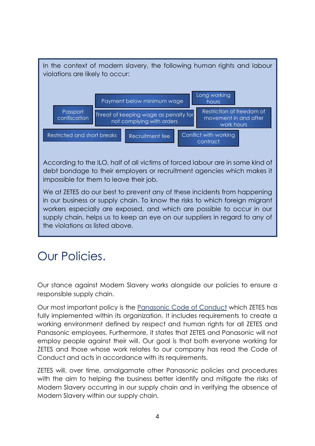

in our business or supply chain. To know the risks to which foreign migrant workers especially are exposed, and which are possible to occur in our supply chain, helps us to keep an eye on our suppliers in regard to any of the violations as listed above.

# Our Policies.

Our stance against Modern Slavery works alongside our policies to ensure a responsible supply chain.

Our most important policy is the [Panasonic Code of Conduct](https://www.panasonic.com/global/corporate/management/code-of-conduct/pdf/code-of-conduct/02CoC_2016English.pdf) which ZETES has fully implemented within its organization. It includes requirements to create a working environment defined by respect and human rights for all ZETES and Panasonic employees. Furthermore, it states that ZETES and Panasonic will not employ people against their will. Our goal is that both everyone working for ZETES and those whose work relates to our company has read the Code of Conduct and acts in accordance with its requirements.

ZETES will, over time, amalgamate other Panasonic policies and procedures with the aim to helping the business better identify and mitigate the risks of Modern Slavery occurring in our supply chain and in verifying the absence of Modern Slavery within our supply chain.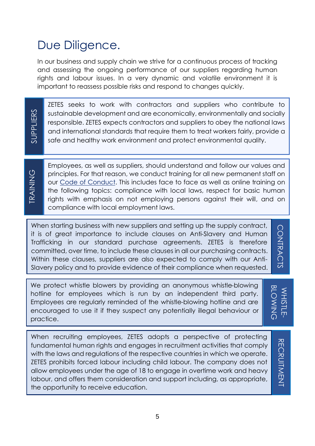# Due Diligence.

In our business and supply chain we strive for a continuous process of tracking and assessing the ongoing performance of our suppliers regarding human rights and labour issues. In a very dynamic and volatile environment it is important to reassess possible risks and respond to changes quickly.

SUPPLIERS

ZETES seeks to work with contractors and suppliers who contribute to sustainable development and are economically, environmentally and socially responsible. ZETES expects contractors and suppliers to obey the national laws and international standards that require them to treat workers fairly, provide a safe and healthy work environment and protect environmental quality.

Employees, as well as suppliers, should understand and follow our values and principles. For that reason, we conduct training for all new permanent staff on our [Code of Conduct.](https://www.panasonic.com/global/corporate/management/code-of-conduct/pdf/code-of-conduct/02CoC_2016English.pdf) This includes face to face as well as online training on the following topics: compliance with local laws, respect for basic human rights with emphasis on not employing persons against their will, and on compliance with local employment laws.

When starting business with new suppliers and setting up the supply contract, it is of great importance to include clauses on Anti-Slavery and Human Trafficking in our standard purchase agreements. ZETES is therefore committed, over time, to include these clauses in all our purchasing contracts. Within these clauses, suppliers are also expected to comply with our Anti-Slavery policy and to provide evidence of their compliance when requested.<br>
Slavery policy and to provide since their compliance with local laws, respect for basic has in the following topics: compliance with local laws, r

**CONTRACTS** CONTRACTS

We protect whistle blowers by providing an anonymous whistle-blowing<br>
hotline for employees which is run by an independent third party.<br>
Employees are regularly reminded of the whistle-blowing hotline and are<br>
encouraged hotline for employees which is run by an independent third party. Employees are regularly reminded of the whistle-blowing hotline and are encouraged to use it if they suspect any potentially illegal behaviour or practice.

WHISTLE-WHISTLE-

When recruiting employees, ZETES adopts a perspective of protecting fundamental human rights and engages in recruitment activities that comply with the laws and regulations of the respective countries in which we operate. ZETES prohibits forced labour including child labour. The company does not allow employees under the age of 18 to engage in overtime work and heavy labour, and offers them consideration and support including, as appropriate, the opportunity to receive education.

**RECRUITMENT** RECRUITMENT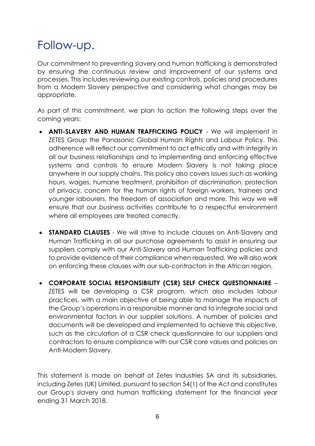# Follow-up.

Our commitment to preventing slavery and human trafficking is demonstrated by ensuring the continuous review and improvement of our systems and processes. This includes reviewing our existing controls, policies and procedures from a Modern Slavery perspective and considering what changes may be appropriate.

As part of this commitment, we plan to action the following steps over the coming years:

- **ANTI-SLAVERY AND HUMAN TRAFFICKING POLICY** We will implement in ZETES Group the Panasonic Global Human Rights and Labour Policy. This adherence will reflect our commitment to act ethically and with integrity in all our business relationships and to implementing and enforcing effective systems and controls to ensure Modern Slavery is not taking place anywhere in our supply chains. This policy also covers issues such as working hours, wages, humane treatment, prohibition of discrimination, protection of privacy, concern for the human rights of foreign workers, trainees and younger labourers, the freedom of association and more. This way we will ensure that our business activities contribute to a respectful environment where all employees are treated correctly.
- **STANDARD CLAUSES** We will strive to include clauses on Anti-Slavery and Human Trafficking in all our purchase agreements to assist in ensuring our suppliers comply with our Anti-Slavery and Human Trafficking policies and to provide evidence of their compliance when requested. We will also work on enforcing these clauses with our sub-contractors in the African region.
- **CORPORATE SOCIAL RESPONSIBILITY (CSR) SELF CHECK QUESTIONNAIRE**  ZETES will be developing a CSR program, which also includes labour practices, with a main objective of being able to manage the impacts of the Group's operations in a responsible manner and to integrate social and environmental factors in our supplier solutions. A number of policies and documents will be developed and implemented to achieve this objective, such as the circulation of a CSR check questionnaire to our suppliers and contractors to ensure compliance with our CSR core values and policies on Anti-Modern Slavery.

This statement is made on behalf of Zetes Industries SA and its subsidiaries, including Zetes (UK) Limited, pursuant to section 54(1) of the Act and constitutes our Group's slavery and human trafficking statement for the financial year ending 31 March 2018.